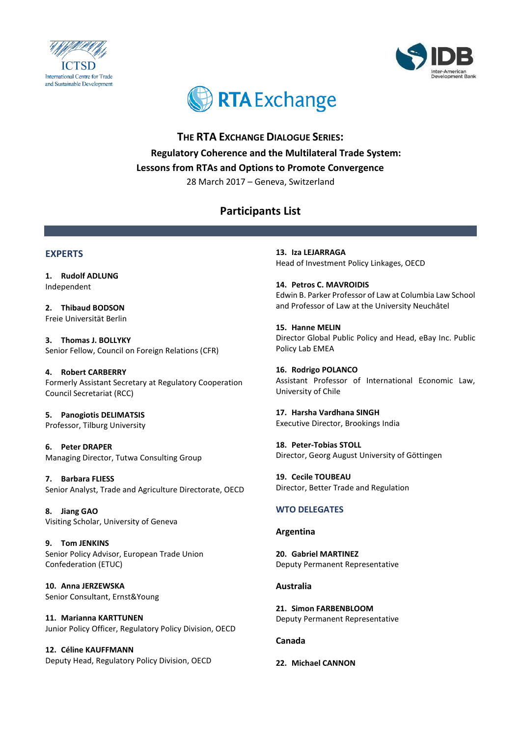





**THE RTA EXCHANGE DIALOGUE SERIES: Regulatory Coherence and the Multilateral Trade System: Lessons from RTAs and Options to Promote Convergence** 28 March 2017 – Geneva, Switzerland

# **Participants List**

# **EXPERTS**

**1. Rudolf ADLUNG** Independent

**2. Thibaud BODSON** Freie Universität Berlin

**3. Thomas J. BOLLYKY** Senior Fellow, Council on Foreign Relations (CFR)

**4. Robert CARBERRY** Formerly Assistant Secretary at Regulatory Cooperation Council Secretariat (RCC)

**5. Panogiotis DELIMATSIS** Professor, Tilburg University

**6. Peter DRAPER** Managing Director, Tutwa Consulting Group

**7. Barbara FLIESS** Senior Analyst, Trade and Agriculture Directorate, OECD

**8. Jiang GAO** Visiting Scholar, University of Geneva

**9. Tom JENKINS** Senior Policy Advisor, European Trade Union Confederation (ETUC)

**10. Anna JERZEWSKA** Senior Consultant, Ernst&Young

**11. Marianna KARTTUNEN** Junior Policy Officer, Regulatory Policy Division, OECD

**12. Céline KAUFFMANN** Deputy Head, Regulatory Policy Division, OECD

**13. Iza LEJARRAGA** Head of Investment Policy Linkages, OECD

**14. Petros C. MAVROIDIS** Edwin B. Parker Professor of Law at Columbia Law School and Professor of Law at the University Neuchâtel

**15. Hanne MELIN**  Director Global Public Policy and Head, eBay Inc. Public Policy Lab EMEA

**16. Rodrigo POLANCO** Assistant Professor of International Economic Law, University of Chile

**17. Harsha Vardhana SINGH** Executive Director, Brookings India

**18. Peter-Tobias STOLL** Director, Georg August University of Göttingen

**19. Cecile TOUBEAU** Director, Better Trade and Regulation

# **WTO DELEGATES**

# **Argentina**

**20. Gabriel MARTINEZ** Deputy Permanent Representative

# **Australia**

**21. Simon FARBENBLOOM** Deputy Permanent Representative

# **Canada**

# **22. Michael CANNON**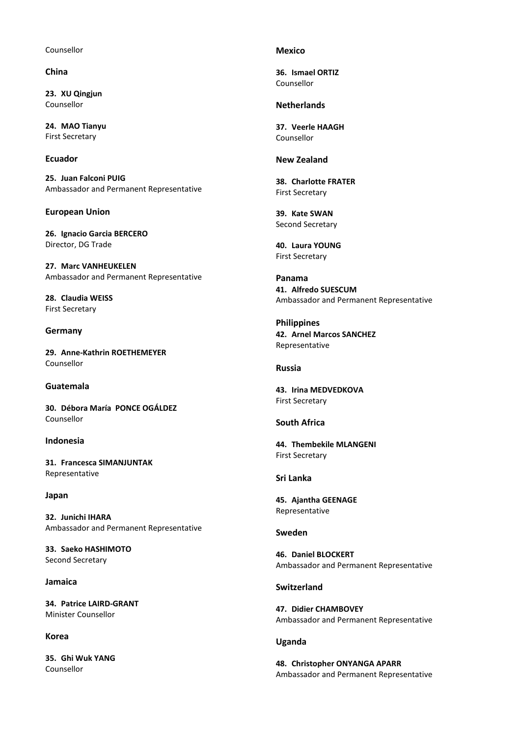#### Counsellor

# **China**

**23. XU Qingjun** Counsellor

**24. MAO Tianyu** First Secretary

### **Ecuador**

**25. Juan Falconi PUIG** Ambassador and Permanent Representative

### **European Union**

**26. Ignacio Garcia BERCERO** Director, DG Trade

**27. Marc VANHEUKELEN** Ambassador and Permanent Representative

**28. Claudia WEISS** First Secretary

#### **Germany**

**29. Anne-Kathrin ROETHEMEYER** Counsellor

#### **Guatemala**

**30. Débora María PONCE OGÁLDEZ** Counsellor

### **Indonesia**

**31. Francesca SIMANJUNTAK** Representative

#### **Japan**

**32. Junichi IHARA** Ambassador and Permanent Representative

**33. Saeko HASHIMOTO** Second Secretary

#### **Jamaica**

**34. Patrice LAIRD-GRANT** Minister Counsellor

### **Korea**

**35. Ghi Wuk YANG**  Counsellor

#### **Mexico**

**36. Ismael ORTIZ** Counsellor

### **Netherlands**

**37. Veerle HAAGH**  Counsellor

# **New Zealand**

**38. Charlotte FRATER** First Secretary

**39. Kate SWAN** Second Secretary

**40. Laura YOUNG** First Secretary

**Panama 41. Alfredo SUESCUM** Ambassador and Permanent Representative

**Philippines 42. Arnel Marcos SANCHEZ** Representative

### **Russia**

**43. Irina MEDVEDKOVA** First Secretary

### **South Africa**

**44. Thembekile MLANGENI**  First Secretary

### **Sri Lanka**

**45. Ajantha GEENAGE** Representative

### **Sweden**

**46. Daniel BLOCKERT** Ambassador and Permanent Representative

#### **Switzerland**

**47. Didier CHAMBOVEY** Ambassador and Permanent Representative

#### **Uganda**

**48. Christopher ONYANGA APARR** Ambassador and Permanent Representative